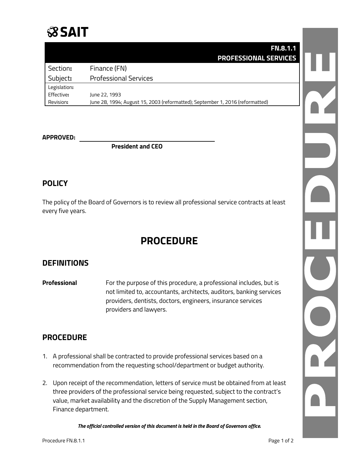

### **FN.8.1.1 PROFESSIONAL SERVICES**

| Section:     | Finance (FN)                                                                  |
|--------------|-------------------------------------------------------------------------------|
| Subject:     | <b>Professional Services</b>                                                  |
| Legislation: |                                                                               |
| Effective:   | June 22, 1993                                                                 |
| Revision:    | June 28, 1994; August 15, 2003 (reformatted); September 1, 2016 (reformatted) |

#### **APPROVED:**

**President and CEO**

### **POLICY**

The policy of the Board of Governors is to review all professional service contracts at least every five years.

# **PROCEDURE**

### **DEFINITIONS**

**Professional** For the purpose of this procedure, a professional includes, but is not limited to, accountants, architects, auditors, banking services providers, dentists, doctors, engineers, insurance services providers and lawyers.

### **PROCEDURE**

- 1. A professional shall be contracted to provide professional services based on a recommendation from the requesting school/department or budget authority.
- 2. Upon receipt of the recommendation, letters of service must be obtained from at least three providers of the professional service being requested, subject to the contract's value, market availability and the discretion of the Supply Management section, Finance department.

*The official controlled version of this document is held in the Board of Governors office.*